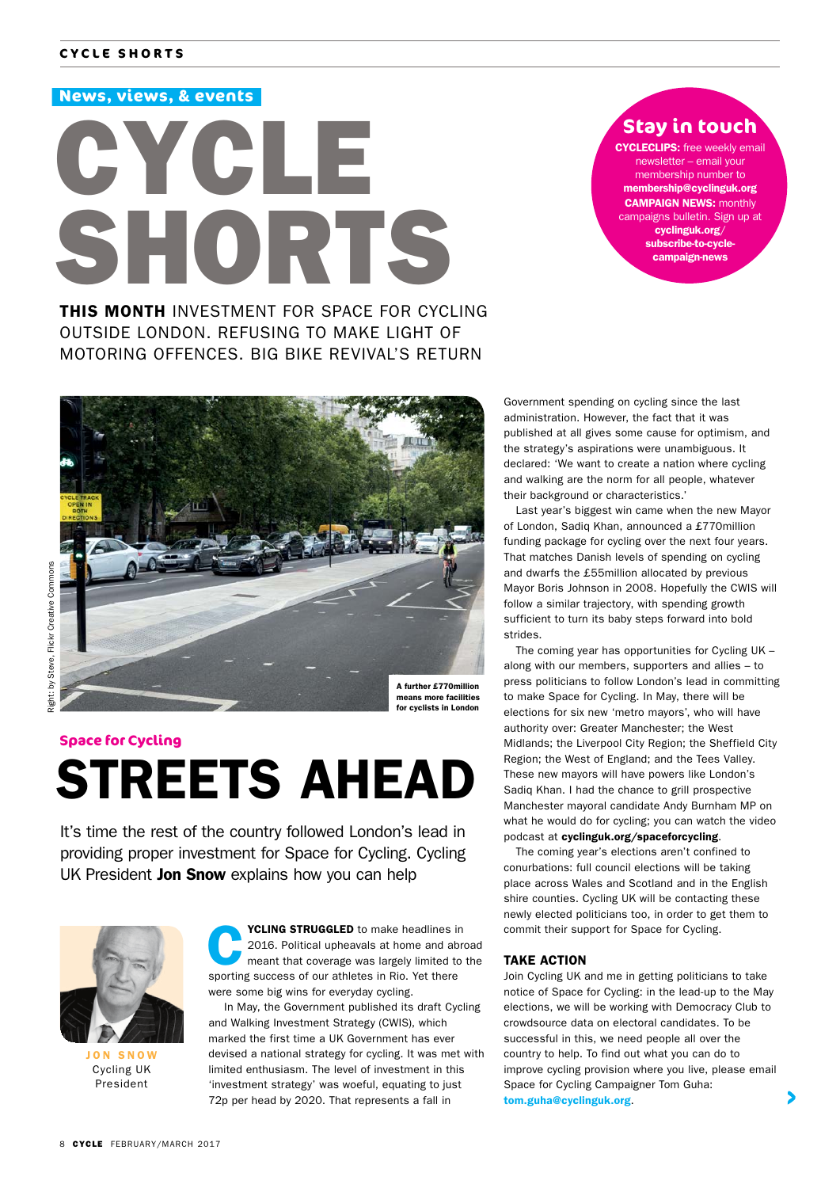#### **News, views, & events**



**Stay in touch**

**CYCLECLIPS:** free weekly email newsletter – email your membership number to membership@cyclinguk.org CAMPAIGN NEWS: monthly campaigns bulletin. Sign up at cyclinguk.org/ subscribe-to-cyclecampaign-news

THIS MONTH INVESTMENT FOR SPACE FOR CYCLING OUTSIDE LONDON. REFUSING TO MAKE LIGHT OF MOTORING OFFENCES. BIG BIKE REVIVAL'S RETURN



means more facilities for cyclists in London

#### **Space for Cycling**

# STREETS AHEAD

It's time the rest of the country followed London's lead in providing proper investment for Space for Cycling. Cycling UK President Jon Snow explains how you can help



JON SNOW Cycling UK President

**YCLING STRUGGLED** to make headlines in<br>2016. Political upheavals at home and abre<br>meant that coverage was largely limited to 2016. Political upheavals at home and abroad meant that coverage was largely limited to the sporting success of our athletes in Rio. Yet there were some big wins for everyday cycling.

 In May, the Government published its draft Cycling and Walking Investment Strategy (CWIS), which marked the first time a UK Government has ever devised a national strategy for cycling. It was met with limited enthusiasm. The level of investment in this 'investment strategy' was woeful, equating to just 72p per head by 2020. That represents a fall in

Government spending on cycling since the last administration. However, the fact that it was published at all gives some cause for optimism, and the strategy's aspirations were unambiguous. It declared: 'We want to create a nation where cycling and walking are the norm for all people, whatever their background or characteristics.'

Last year's biggest win came when the new Mayor of London, Sadiq Khan, announced a £770million funding package for cycling over the next four years. That matches Danish levels of spending on cycling and dwarfs the £55million allocated by previous Mayor Boris Johnson in 2008. Hopefully the CWIS will follow a similar trajectory, with spending growth sufficient to turn its baby steps forward into bold strides.

The coming year has opportunities for Cycling UK – along with our members, supporters and allies – to press politicians to follow London's lead in committing to make Space for Cycling. In May, there will be elections for six new 'metro mayors', who will have authority over: Greater Manchester; the West Midlands; the Liverpool City Region; the Sheffield City Region; the West of England; and the Tees Valley. These new mayors will have powers like London's Sadiq Khan. I had the chance to grill prospective Manchester mayoral candidate Andy Burnham MP on what he would do for cycling; you can watch the video podcast at cyclinguk.org/spaceforcycling.

The coming year's elections aren't confined to conurbations: full council elections will be taking place across Wales and Scotland and in the English shire counties. Cycling UK will be contacting these newly elected politicians too, in order to get them to commit their support for Space for Cycling.

#### TAKE ACTION

Join Cycling UK and me in getting politicians to take notice of Space for Cycling: in the lead-up to the May elections, we will be working with Democracy Club to crowdsource data on electoral candidates. To be successful in this, we need people all over the country to help. To find out what you can do to improve cycling provision where you live, please email Space for Cycling Campaigner Tom Guha: tom.guha@cyclinguk.org.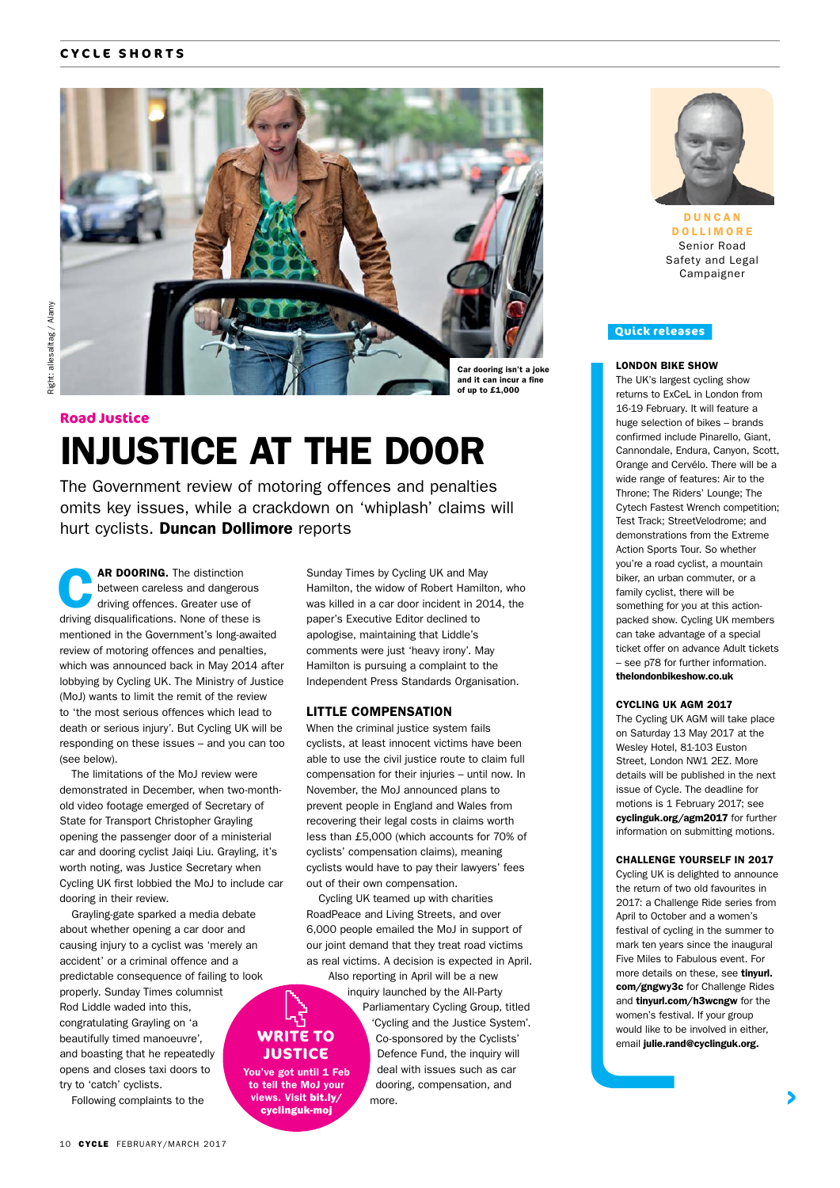#### **CYCLE SHORTS**



### INJUSTICE AT THE DOOR **Road Justice**

The Government review of motoring offences and penalties omits key issues, while a crackdown on 'whiplash' claims will hurt cyclists. Duncan Dollimore reports

**AR DOORING.** The distinction<br>between careless and dangerou<br>driving offences. Greater use of between careless and dangerous driving disqualifications. None of these is mentioned in the Government's long-awaited review of motoring offences and penalties, which was announced back in May 2014 after lobbying by Cycling UK. The Ministry of Justice (MoJ) wants to limit the remit of the review to 'the most serious offences which lead to death or serious injury'. But Cycling UK will be responding on these issues – and you can too (see below).

The limitations of the MoJ review were demonstrated in December, when two-monthold video footage emerged of Secretary of State for Transport Christopher Grayling opening the passenger door of a ministerial car and dooring cyclist Jaiqi Liu. Grayling, it's worth noting, was Justice Secretary when Cycling UK first lobbied the MoJ to include car dooring in their review.

Grayling-gate sparked a media debate about whether opening a car door and causing injury to a cyclist was 'merely an accident' or a criminal offence and a predictable consequence of failing to look properly. Sunday Times columnist Rod Liddle waded into this, congratulating Grayling on 'a beautifully timed manoeuvre', and boasting that he repeatedly opens and closes taxi doors to try to 'catch' cyclists.

Following complaints to the

Sunday Times by Cycling UK and May Hamilton, the widow of Robert Hamilton, who was killed in a car door incident in 2014, the paper's Executive Editor declined to apologise, maintaining that Liddle's comments were just 'heavy irony'. May Hamilton is pursuing a complaint to the Independent Press Standards Organisation.

#### LITTLE COMPENSATION

When the criminal justice system fails cyclists, at least innocent victims have been able to use the civil justice route to claim full compensation for their injuries – until now. In November, the MoJ announced plans to prevent people in England and Wales from recovering their legal costs in claims worth less than £5,000 (which accounts for 70% of cyclists' compensation claims), meaning cyclists would have to pay their lawyers' fees out of their own compensation.

Cycling UK teamed up with charities RoadPeace and Living Streets, and over 6,000 people emailed the MoJ in support of our joint demand that they treat road victims as real victims. A decision is expected in April.

Also reporting in April will be a new inquiry launched by the All-Party

**WRITE TO JUSTICE** You've got until 1 Feb

to tell the MoJ your views. Visit bit.ly/ cyclinguk-moj

Parliamentary Cycling Group, titled 'Cycling and the Justice System'. Co-sponsored by the Cyclists' Defence Fund, the inquiry will deal with issues such as car dooring, compensation, and more.



D U N C A N DOLLIMORE Senior Road Safety and Legal Campaigner

#### **Quick releases**

#### LONDON BIKE SHOW

The UK's largest cycling show returns to ExCeL in London from 16-19 February. It will feature a huge selection of bikes – brands confirmed include Pinarello, Giant, Cannondale, Endura, Canyon, Scott, Orange and Cervélo. There will be a wide range of features: Air to the Throne; The Riders' Lounge; The Cytech Fastest Wrench competition; Test Track; StreetVelodrome; and demonstrations from the Extreme Action Sports Tour. So whether you're a road cyclist, a mountain biker, an urban commuter, or a family cyclist, there will be something for you at this actionpacked show. Cycling UK members can take advantage of a special ticket offer on advance Adult tickets – see p78 for further information. thelondonbikeshow.co.uk

#### CYCLING UK AGM 2017

The Cycling UK AGM will take place on Saturday 13 May 2017 at the Wesley Hotel, 81-103 Euston Street, London NW1 2EZ. More details will be published in the next issue of Cycle. The deadline for motions is 1 February 2017; see cyclinguk.org/agm2017 for further information on submitting motions.

#### CHALLENGE YOURSELF IN 2017

Cycling UK is delighted to announce the return of two old favourites in 2017: a Challenge Ride series from April to October and a women's festival of cycling in the summer to mark ten years since the inaugural Five Miles to Fabulous event. For more details on these, see tinyurl. com/gngwy3c for Challenge Rides and tinyurl.com/h3wcngw for the women's festival. If your group would like to be involved in either, email julie.rand@cyclinguk.org.